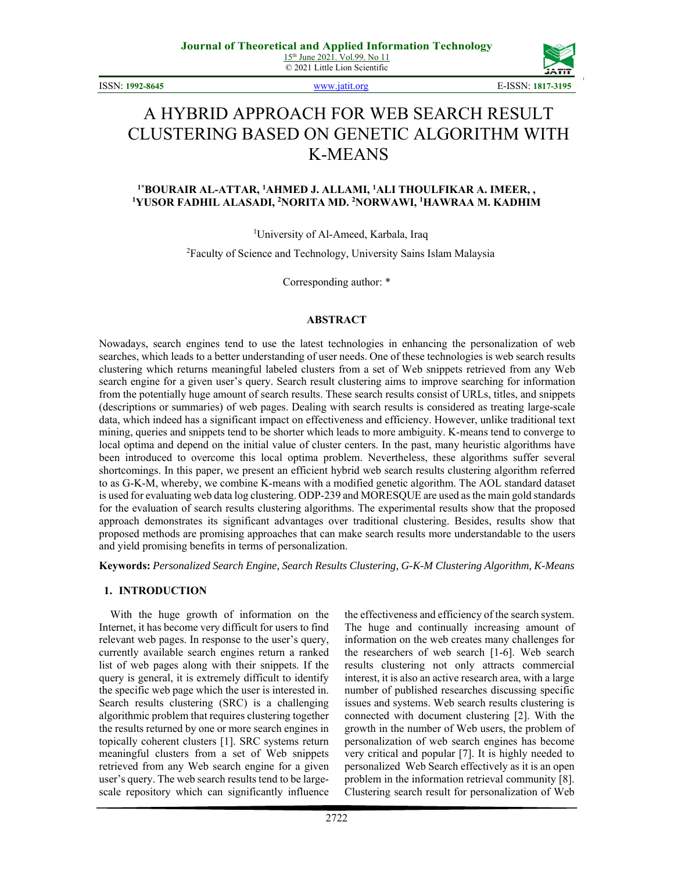ISSN: **1992-8645** www.jatit.org E-ISSN: **1817-3195**



# A HYBRID APPROACH FOR WEB SEARCH RESULT CLUSTERING BASED ON GENETIC ALGORITHM WITH K-MEANS

#### <sup>1</sup>\*BOURAIR AL-ATTAR, <sup>1</sup>AHMED J. ALLAMI, <sup>1</sup>ALI THOULFIKAR A. IMEER, ,<br><sup>1</sup>VIISOR EADHIL ALASADI <sup>2</sup>NORITA MD. <sup>2</sup>NORWAWI <sup>1</sup>HAWRAA M. KADHIM **YUSOR FADHIL ALASADI, 2 NORITA MD. 2 NORWAWI, 1 HAWRAA M. KADHIM**

1 University of Al-Ameed, Karbala, Iraq

<sup>2</sup> Faculty of Science and Technology, University Sains Islam Malaysia

Corresponding author: \*

#### **ABSTRACT**

Nowadays, search engines tend to use the latest technologies in enhancing the personalization of web searches, which leads to a better understanding of user needs. One of these technologies is web search results clustering which returns meaningful labeled clusters from a set of Web snippets retrieved from any Web search engine for a given user's query. Search result clustering aims to improve searching for information from the potentially huge amount of search results. These search results consist of URLs, titles, and snippets (descriptions or summaries) of web pages. Dealing with search results is considered as treating large-scale data, which indeed has a significant impact on effectiveness and efficiency. However, unlike traditional text mining, queries and snippets tend to be shorter which leads to more ambiguity. K-means tend to converge to local optima and depend on the initial value of cluster centers. In the past, many heuristic algorithms have been introduced to overcome this local optima problem. Nevertheless, these algorithms suffer several shortcomings. In this paper, we present an efficient hybrid web search results clustering algorithm referred to as G-K-M, whereby, we combine K-means with a modified genetic algorithm. The AOL standard dataset is used for evaluating web data log clustering. ODP-239 and MORESQUE are used as the main gold standards for the evaluation of search results clustering algorithms. The experimental results show that the proposed approach demonstrates its significant advantages over traditional clustering. Besides, results show that proposed methods are promising approaches that can make search results more understandable to the users and yield promising benefits in terms of personalization.

**Keywords:** *Personalized Search Engine, Search Results Clustering, G-K-M Clustering Algorithm, K-Means* 

#### **1. INTRODUCTION**

With the huge growth of information on the Internet, it has become very difficult for users to find relevant web pages. In response to the user's query, currently available search engines return a ranked list of web pages along with their snippets. If the query is general, it is extremely difficult to identify the specific web page which the user is interested in. Search results clustering (SRC) is a challenging algorithmic problem that requires clustering together the results returned by one or more search engines in topically coherent clusters [1]. SRC systems return meaningful clusters from a set of Web snippets retrieved from any Web search engine for a given user's query. The web search results tend to be largescale repository which can significantly influence the effectiveness and efficiency of the search system. The huge and continually increasing amount of information on the web creates many challenges for the researchers of web search [1-6]. Web search results clustering not only attracts commercial interest, it is also an active research area, with a large number of published researches discussing specific issues and systems. Web search results clustering is connected with document clustering [2]. With the growth in the number of Web users, the problem of personalization of web search engines has become very critical and popular [7]. It is highly needed to personalized Web Search effectively as it is an open problem in the information retrieval community [8]. Clustering search result for personalization of Web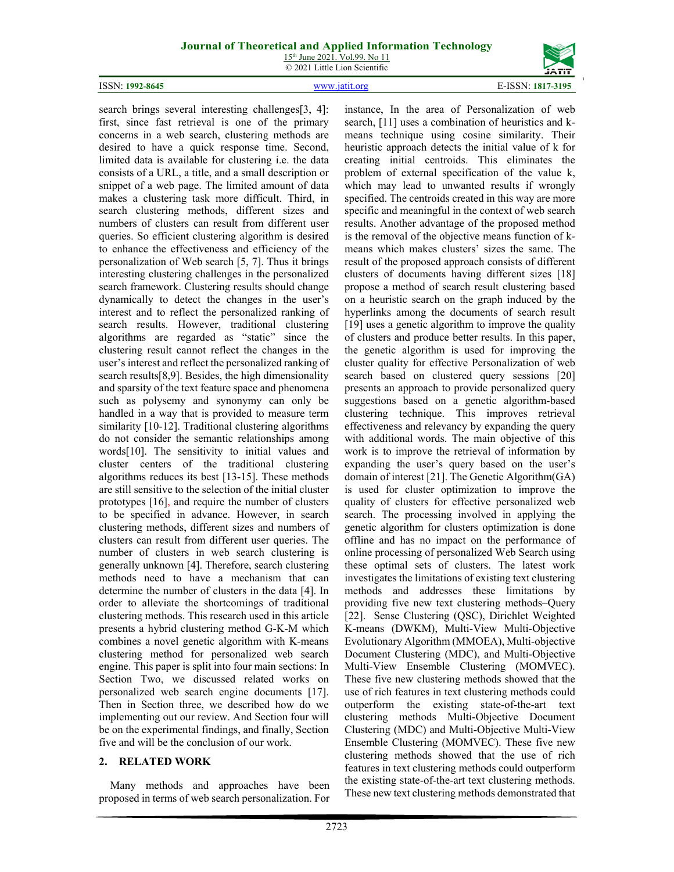# **Journal of Theoretical and Applied Information Technology**

15th June 2021. Vol.99. No 11 © 2021 Little Lion Scientific





search brings several interesting challenges[3, 4]: first, since fast retrieval is one of the primary concerns in a web search, clustering methods are desired to have a quick response time. Second, limited data is available for clustering i.e. the data consists of a URL, a title, and a small description or snippet of a web page. The limited amount of data makes a clustering task more difficult. Third, in search clustering methods, different sizes and numbers of clusters can result from different user queries. So efficient clustering algorithm is desired to enhance the effectiveness and efficiency of the personalization of Web search [5, 7]. Thus it brings interesting clustering challenges in the personalized search framework. Clustering results should change dynamically to detect the changes in the user's interest and to reflect the personalized ranking of search results. However, traditional clustering algorithms are regarded as "static" since the clustering result cannot reflect the changes in the user's interest and reflect the personalized ranking of search results[8,9]. Besides, the high dimensionality and sparsity of the text feature space and phenomena such as polysemy and synonymy can only be handled in a way that is provided to measure term similarity [10-12]. Traditional clustering algorithms do not consider the semantic relationships among words[10]. The sensitivity to initial values and cluster centers of the traditional clustering algorithms reduces its best [13-15]. These methods are still sensitive to the selection of the initial cluster prototypes [16], and require the number of clusters to be specified in advance. However, in search clustering methods, different sizes and numbers of clusters can result from different user queries. The number of clusters in web search clustering is generally unknown [4]. Therefore, search clustering methods need to have a mechanism that can determine the number of clusters in the data [4]. In order to alleviate the shortcomings of traditional clustering methods. This research used in this article presents a hybrid clustering method G-K-M which combines a novel genetic algorithm with K-means clustering method for personalized web search engine. This paper is split into four main sections: In Section Two, we discussed related works on personalized web search engine documents [17]. Then in Section three, we described how do we implementing out our review. And Section four will be on the experimental findings, and finally, Section five and will be the conclusion of our work.

# **2. RELATED WORK**

Many methods and approaches have been proposed in terms of web search personalization. For instance, In the area of Personalization of web search, [11] uses a combination of heuristics and kmeans technique using cosine similarity. Their heuristic approach detects the initial value of k for creating initial centroids. This eliminates the problem of external specification of the value k, which may lead to unwanted results if wrongly specified. The centroids created in this way are more specific and meaningful in the context of web search results. Another advantage of the proposed method is the removal of the objective means function of kmeans which makes clusters' sizes the same. The result of the proposed approach consists of different clusters of documents having different sizes [18] propose a method of search result clustering based on a heuristic search on the graph induced by the hyperlinks among the documents of search result [19] uses a genetic algorithm to improve the quality of clusters and produce better results. In this paper, the genetic algorithm is used for improving the cluster quality for effective Personalization of web search based on clustered query sessions [20] presents an approach to provide personalized query suggestions based on a genetic algorithm-based clustering technique. This improves retrieval effectiveness and relevancy by expanding the query with additional words. The main objective of this work is to improve the retrieval of information by expanding the user's query based on the user's domain of interest [21]. The Genetic Algorithm(GA) is used for cluster optimization to improve the quality of clusters for effective personalized web search. The processing involved in applying the genetic algorithm for clusters optimization is done offline and has no impact on the performance of online processing of personalized Web Search using these optimal sets of clusters. The latest work investigates the limitations of existing text clustering methods and addresses these limitations by providing five new text clustering methods–Query [22]. Sense Clustering (OSC), Dirichlet Weighted K-means (DWKM), Multi-View Multi-Objective Evolutionary Algorithm (MMOEA), Multi-objective Document Clustering (MDC), and Multi-Objective Multi-View Ensemble Clustering (MOMVEC). These five new clustering methods showed that the use of rich features in text clustering methods could outperform the existing state-of-the-art text clustering methods Multi-Objective Document Clustering (MDC) and Multi-Objective Multi-View Ensemble Clustering (MOMVEC). These five new clustering methods showed that the use of rich features in text clustering methods could outperform the existing state-of-the-art text clustering methods. These new text clustering methods demonstrated that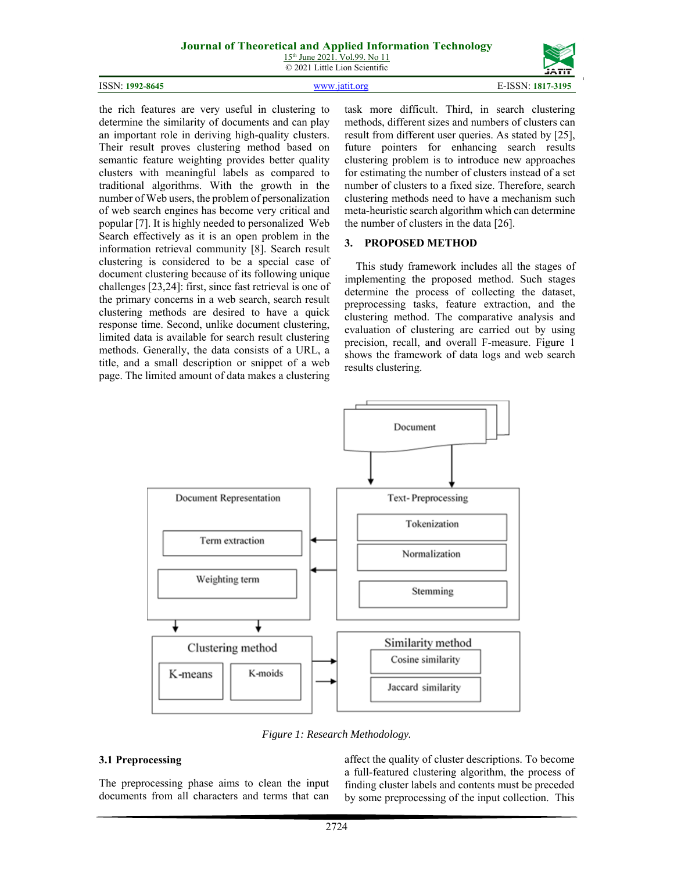### **Journal of Theoretical and Applied Information Technology**

15th June 2021. Vol.99. No 11 © 2021 Little Lion Scientific

ISSN: **1992-8645** www.jatit.org E-ISSN: **1817-3195**



the rich features are very useful in clustering to determine the similarity of documents and can play an important role in deriving high-quality clusters. Their result proves clustering method based on semantic feature weighting provides better quality clusters with meaningful labels as compared to traditional algorithms. With the growth in the number of Web users, the problem of personalization of web search engines has become very critical and popular [7]. It is highly needed to personalized Web Search effectively as it is an open problem in the information retrieval community [8]. Search result clustering is considered to be a special case of document clustering because of its following unique challenges [23,24]: first, since fast retrieval is one of the primary concerns in a web search, search result clustering methods are desired to have a quick response time. Second, unlike document clustering, limited data is available for search result clustering methods. Generally, the data consists of a URL, a title, and a small description or snippet of a web page. The limited amount of data makes a clustering

task more difficult. Third, in search clustering methods, different sizes and numbers of clusters can result from different user queries. As stated by [25], future pointers for enhancing search results clustering problem is to introduce new approaches for estimating the number of clusters instead of a set number of clusters to a fixed size. Therefore, search clustering methods need to have a mechanism such meta-heuristic search algorithm which can determine the number of clusters in the data [26].

#### **3. PROPOSED METHOD**

This study framework includes all the stages of implementing the proposed method. Such stages determine the process of collecting the dataset, preprocessing tasks, feature extraction, and the clustering method. The comparative analysis and evaluation of clustering are carried out by using precision, recall, and overall F-measure. Figure 1 shows the framework of data logs and web search results clustering.



*Figure 1: Research Methodology.* 

#### **3.1 Preprocessing**

The preprocessing phase aims to clean the input documents from all characters and terms that can affect the quality of cluster descriptions. To become a full-featured clustering algorithm, the process of finding cluster labels and contents must be preceded by some preprocessing of the input collection. This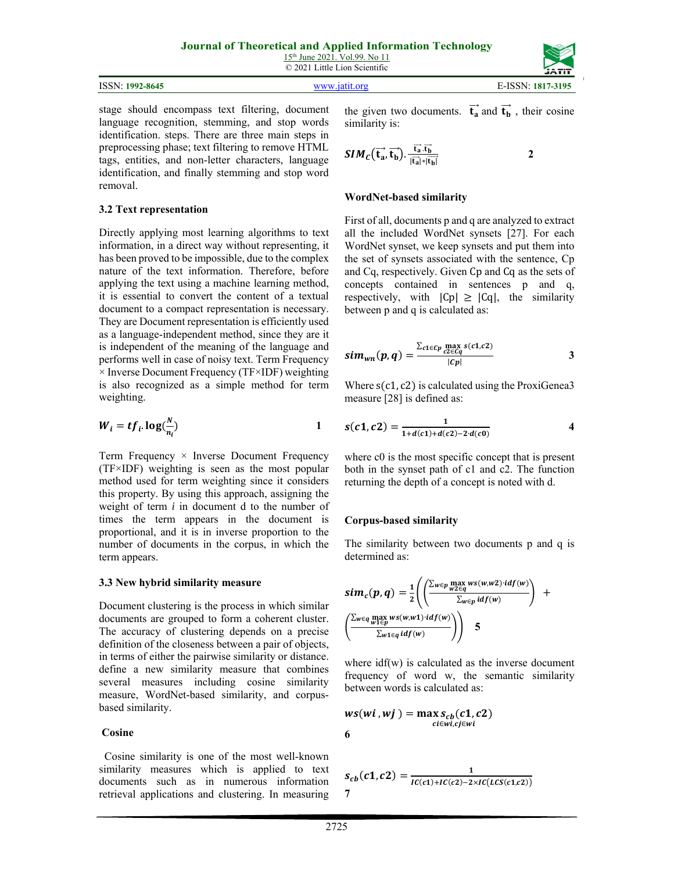| 15 <sup>th</sup> June 2021, Vol.99, No 11 |
|-------------------------------------------|
| © 2021 Little Lion Scientific             |

| ISSN:<br>1992-8645 | orc<br>ıя | $\tau \sim \sim \tau$<br>$7 - 3195$<br>5SN.<br>181<br>ъ. |
|--------------------|-----------|----------------------------------------------------------|
|                    |           |                                                          |

stage should encompass text filtering, document language recognition, stemming, and stop words identification. steps. There are three main steps in preprocessing phase; text filtering to remove HTML tags, entities, and non-letter characters, language identification, and finally stemming and stop word removal.

#### **3.2 Text representation**

Directly applying most learning algorithms to text information, in a direct way without representing, it has been proved to be impossible, due to the complex nature of the text information. Therefore, before applying the text using a machine learning method, it is essential to convert the content of a textual document to a compact representation is necessary. They are Document representation is efficiently used as a language-independent method, since they are it is independent of the meaning of the language and performs well in case of noisy text. Term Frequency  $\times$  Inverse Document Frequency (TF $\times$ IDF) weighting is also recognized as a simple method for term weighting.

$$
W_i = t f_i \cdot \log(\frac{N}{n_i})
$$

Term Frequency  $\times$  Inverse Document Frequency (TF×IDF) weighting is seen as the most popular method used for term weighting since it considers this property. By using this approach, assigning the weight of term *i* in document d to the number of times the term appears in the document is proportional, and it is in inverse proportion to the number of documents in the corpus, in which the term appears.

#### **3.3 New hybrid similarity measure**

Document clustering is the process in which similar documents are grouped to form a coherent cluster. The accuracy of clustering depends on a precise definition of the closeness between a pair of objects, in terms of either the pairwise similarity or distance. define a new similarity measure that combines several measures including cosine similarity measure, WordNet-based similarity, and corpusbased similarity.

#### **Cosine**

 Cosine similarity is one of the most well-known similarity measures which is applied to text documents such as in numerous information retrieval applications and clustering. In measuring the given two documents.  $\vec{t}_a$  and  $\vec{t}_b$ , their cosine similarity is:

$$
SIM_{C}(\overrightarrow{t_{a}}, \overrightarrow{t_{b}}). \frac{\overrightarrow{t_{a}}.\overrightarrow{t_{b}}}{|\overrightarrow{t_{a}}|*|\overrightarrow{t_{b}}|}
$$
 2

### **WordNet-based similarity**

First of all, documents p and q are analyzed to extract all the included WordNet synsets [27]. For each WordNet synset, we keep synsets and put them into the set of synsets associated with the sentence, Cp and Cq, respectively. Given Cp and Cq as the sets of concepts contained in sentences p and q, respectively, with  $|Cp| \geq |Cq|$ , the similarity between p and q is calculated as:

$$
sim_{wn}(p,q) = \frac{\sum_{c1 \in Cp} \max_{c2 \in Cq} s(c1,c2)}{|cp|}
$$
 3

Where  $s(c1, c2)$  is calculated using the ProxiGenea3 measure [28] is defined as:

$$
s(c1, c2) = \frac{1}{1 + d(c1) + d(c2) - 2 \cdot d(c0)} \tag{4}
$$

where c0 is the most specific concept that is present both in the synset path of c1 and c2. The function returning the depth of a concept is noted with d.

#### **Corpus-based similarity**

The similarity between two documents p and q is determined as:

$$
sim_c(p,q) = \frac{1}{2} \left( \left( \frac{\sum_{w \in p} \max_{w2 \in q} ws(w,w2) \cdot idf(w)}{\sum_{w \in p} idf(w)} \right) + \left( \frac{\sum_{w \in q} \max_{w1 \in p} ws(w,w1) \cdot idf(w)}{\sum_{w1 \in q} idf(w)} \right) \right)
$$

where  $\text{if}(w)$  is calculated as the inverse document frequency of word w, the semantic similarity between words is calculated as:

$$
ws(wi, wj) = \max_{ci \in wt, cj \in wt} c1, c2)
$$
6

$$
s_{cb}(c1, c2) = \frac{1}{IC(c1) + IC(c2) - 2 \times IC(LCS(c1, c2))}
$$
7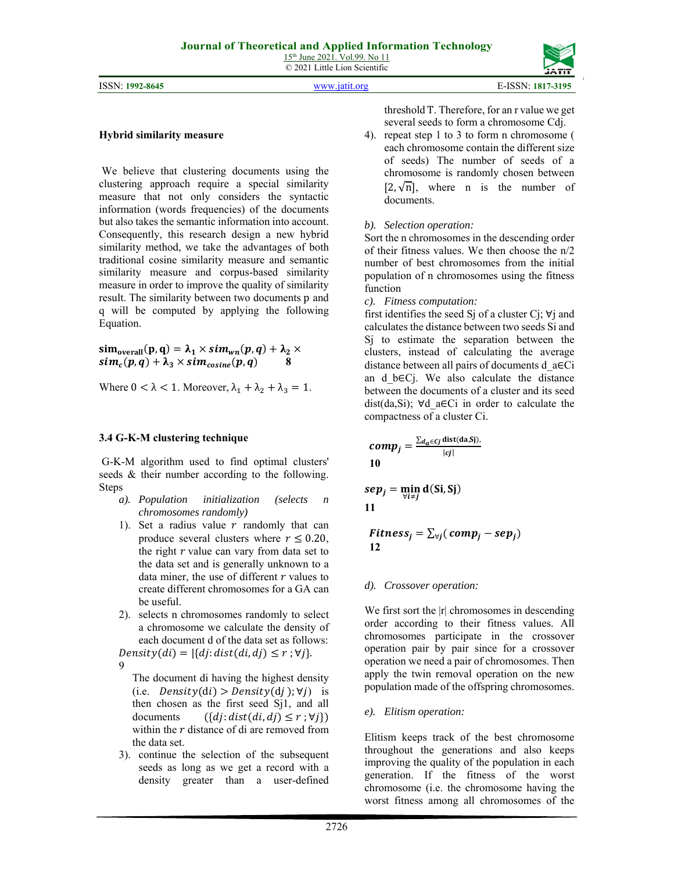15th June 2021. Vol.99. No 11 © 2021 Little Lion Scientific

ISSN: **1992-8645** www.jatit.org E-ISSN: **1817-3195**

![](_page_4_Picture_4.jpeg)

#### **Hybrid similarity measure**

 We believe that clustering documents using the clustering approach require a special similarity measure that not only considers the syntactic information (words frequencies) of the documents but also takes the semantic information into account. Consequently, this research design a new hybrid similarity method, we take the advantages of both traditional cosine similarity measure and semantic similarity measure and corpus-based similarity measure in order to improve the quality of similarity result. The similarity between two documents p and q will be computed by applying the following Equation.

 $sim_{overall}(p,q) = \lambda_1 \times sim_{wn}(p,q) + \lambda_2 \times$  $sim_c(p,q) + \lambda_3 \times sim_{cosine}(p,q)$ 

Where  $0 < \lambda < 1$ . Moreover,  $\lambda_1 + \lambda_2 + \lambda_3 = 1$ .

#### **3.4 G-K-M clustering technique**

 G-K-M algorithm used to find optimal clusters' seeds & their number according to the following. Steps

- *a). Population initialization (selects n chromosomes randomly)*
- 1). Set a radius value  $r$  randomly that can produce several clusters where  $r \leq 0.20$ , the right  $r$  value can vary from data set to the data set and is generally unknown to a data miner, the use of different  $r$  values to create different chromosomes for a GA can be useful.
- 2). selects n chromosomes randomly to select a chromosome we calculate the density of each document d of the data set as follows:

The document di having the highest density (i.e.  $Density(di) > Density(dj)$ ;  $\forall j$ ) is then chosen as the first seed Sj1, and all documents  $({di: dist(di, dj) \le r; \forall j})$ within the  *distance of di are removed from* the data set.

3). continue the selection of the subsequent seeds as long as we get a record with a density greater than a user-defined threshold T. Therefore, for an r value we get several seeds to form a chromosome Cdj.

4). repeat step 1 to 3 to form n chromosome ( each chromosome contain the different size of seeds) The number of seeds of a chromosome is randomly chosen between  $[2, \sqrt{n}]$ , where n is the number of documents.

# *b). Selection operation:*

Sort the n chromosomes in the descending order of their fitness values. We then choose the n/2 number of best chromosomes from the initial population of n chromosomes using the fitness function

*c). Fitness computation:* 

first identifies the seed S<sub>j</sub> of a cluster C<sub>j</sub>;  $\forall$ <sub>j</sub> and calculates the distance between two seeds Si and Sj to estimate the separation between the clusters, instead of calculating the average distance between all pairs of documents d\_a∈Ci an d b∈Ci. We also calculate the distance between the documents of a cluster and its seed dist(da,Si); ∀d\_a∈Ci in order to calculate the compactness of a cluster Ci.

$$
comp_j = \frac{\sum_{d_a \in cj} \text{dist(da,Sj)} }{|cj|}
$$
10

$$
sep_j = \min_{\forall i \neq j} d(Si, Sj)
$$
11

$$
Fitness_j = \sum_{\forall j}(comp_j - sep_j)
$$
12

#### *d). Crossover operation:*

We first sort the  $|r|$  chromosomes in descending order according to their fitness values. All chromosomes participate in the crossover operation pair by pair since for a crossover operation we need a pair of chromosomes. Then apply the twin removal operation on the new population made of the offspring chromosomes.

#### *e). Elitism operation:*

Elitism keeps track of the best chromosome throughout the generations and also keeps improving the quality of the population in each generation. If the fitness of the worst chromosome (i.e. the chromosome having the worst fitness among all chromosomes of the

 $Density(di) = |\{dj: dist(di, dj) \leq r; \forall j\}.$ 9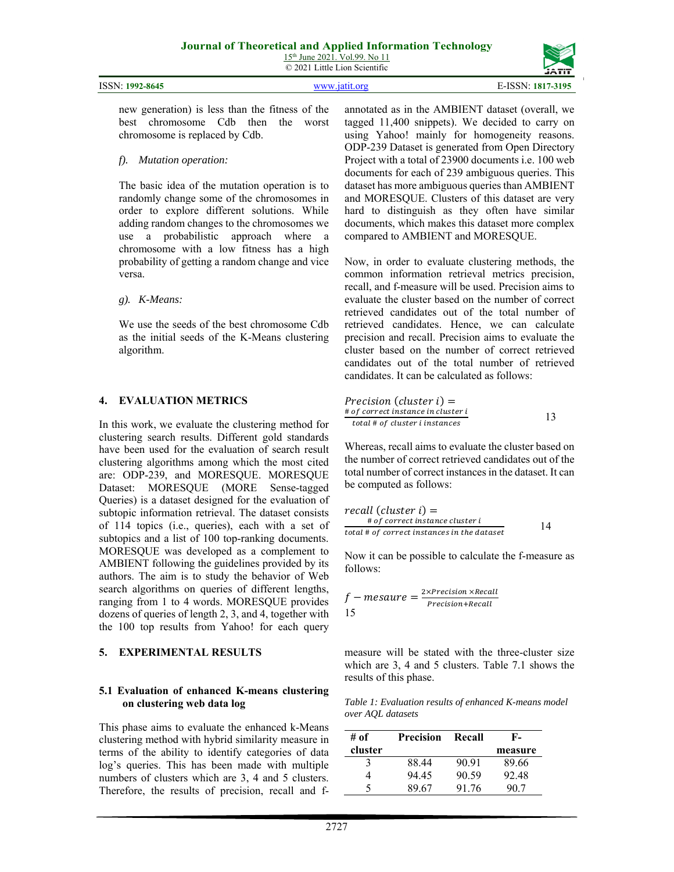15th June 2021. Vol.99. No 11 © 2021 Little Lion Scientific

| ISSN: 1992-8645 | www.jatit.org | E-ISSN: 1817-3195 |
|-----------------|---------------|-------------------|

new generation) is less than the fitness of the best chromosome Cdb then the worst chromosome is replaced by Cdb.

# *f). Mutation operation:*

The basic idea of the mutation operation is to randomly change some of the chromosomes in order to explore different solutions. While adding random changes to the chromosomes we use a probabilistic approach where a chromosome with a low fitness has a high probability of getting a random change and vice versa.

# *g). K-Means:*

We use the seeds of the best chromosome Cdb as the initial seeds of the K-Means clustering algorithm.

# **4. EVALUATION METRICS**

In this work, we evaluate the clustering method for clustering search results. Different gold standards have been used for the evaluation of search result clustering algorithms among which the most cited are: ODP-239, and MORESQUE. MORESQUE Dataset: MORESQUE (MORE Sense-tagged Queries) is a dataset designed for the evaluation of subtopic information retrieval. The dataset consists of 114 topics (i.e., queries), each with a set of subtopics and a list of 100 top-ranking documents. MORESQUE was developed as a complement to AMBIENT following the guidelines provided by its authors. The aim is to study the behavior of Web search algorithms on queries of different lengths, ranging from 1 to 4 words. MORESQUE provides dozens of queries of length 2, 3, and 4, together with the 100 top results from Yahoo! for each query

# **5. EXPERIMENTAL RESULTS**

#### **5.1 Evaluation of enhanced K-means clustering on clustering web data log**

This phase aims to evaluate the enhanced k-Means clustering method with hybrid similarity measure in terms of the ability to identify categories of data log's queries. This has been made with multiple numbers of clusters which are 3, 4 and 5 clusters. Therefore, the results of precision, recall and fannotated as in the AMBIENT dataset (overall, we tagged 11,400 snippets). We decided to carry on using Yahoo! mainly for homogeneity reasons. ODP-239 Dataset is generated from Open Directory Project with a total of 23900 documents i.e. 100 web documents for each of 239 ambiguous queries. This dataset has more ambiguous queries than AMBIENT and MORESQUE. Clusters of this dataset are very hard to distinguish as they often have similar documents, which makes this dataset more complex compared to AMBIENT and MORESQUE.

Now, in order to evaluate clustering methods, the common information retrieval metrics precision, recall, and f-measure will be used. Precision aims to evaluate the cluster based on the number of correct retrieved candidates out of the total number of retrieved candidates. Hence, we can calculate precision and recall. Precision aims to evaluate the cluster based on the number of correct retrieved candidates out of the total number of retrieved candidates. It can be calculated as follows:

$$
Precision (cluster i) =
$$
  
\n# of correct instance in cluster i  
\ntotal # of cluster i instances\n 13

Whereas, recall aims to evaluate the cluster based on the number of correct retrieved candidates out of the total number of correct instances in the dataset. It can be computed as follows:

$$
recall (cluster i) =\n# of correct instance cluster i\ntotal # of correct instances in the dataset
$$
 14

Now it can be possible to calculate the f-measure as follows:

$$
f-measure = \frac{2 \times Precision \times Recall}{Precision+Recall}
$$
15

measure will be stated with the three-cluster size which are 3, 4 and 5 clusters. Table 7.1 shows the results of this phase.

*Table 1: Evaluation results of enhanced K-means model over AQL datasets* 

| # of    | Precision | Recall | F-      |
|---------|-----------|--------|---------|
| cluster |           |        | measure |
|         | 88.44     | 90.91  | 89.66   |
|         | 94.45     | 90.59  | 92.48   |
| 5       | 89 67     | 91.76  | 90.7    |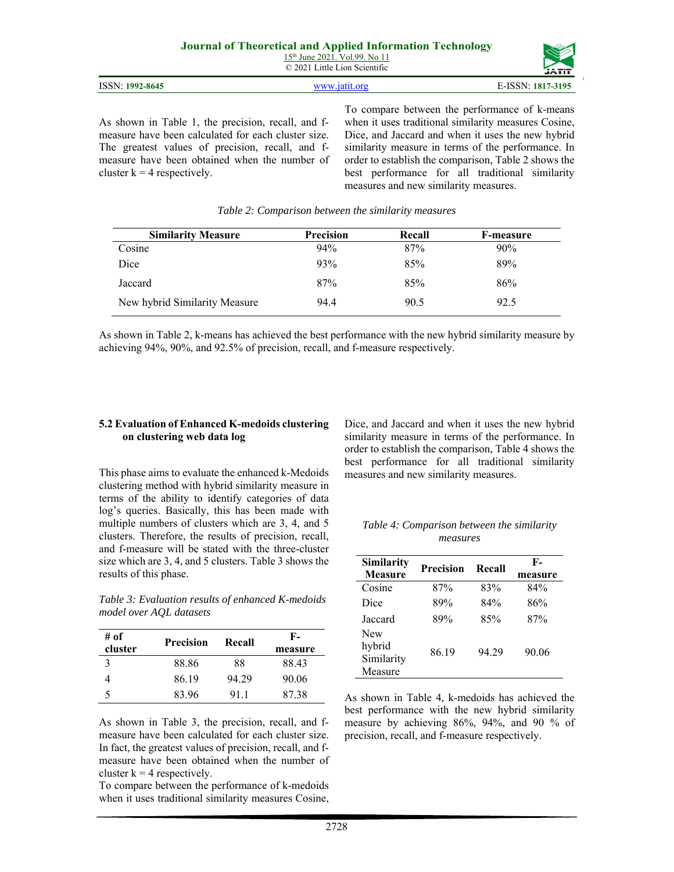| <b>Journal of Theoretical and Applied Information Technology</b> |  |
|------------------------------------------------------------------|--|
| $15th$ June 2021. Vol.99. No 11                                  |  |
| © 2021 Little Lion Scientific                                    |  |

As shown in Table 1, the precision, recall, and fmeasure have been calculated for each cluster size. The greatest values of precision, recall, and fmeasure have been obtained when the number of cluster  $k = 4$  respectively.

To compare between the performance of k-means when it uses traditional similarity measures Cosine, Dice, and Jaccard and when it uses the new hybrid similarity measure in terms of the performance. In order to establish the comparison, Table 2 shows the best performance for all traditional similarity measures and new similarity measures.

| <b>Similarity Measure</b>     | <b>Precision</b> | Recall | F-measure |
|-------------------------------|------------------|--------|-----------|
| Cosine                        | 94%              | 87%    | 90%       |
| Dice                          | 93%              | 85%    | 89%       |
| Jaccard                       | 87%              | 85%    | 86%       |
| New hybrid Similarity Measure | 94.4             | 90.5   | 92.5      |

*Table 2: Comparison between the similarity measures* 

As shown in Table 2, k-means has achieved the best performance with the new hybrid similarity measure by achieving 94%, 90%, and 92.5% of precision, recall, and f-measure respectively.

#### **5.2 Evaluation of Enhanced K-medoids clustering on clustering web data log**

This phase aims to evaluate the enhanced k-Medoids clustering method with hybrid similarity measure in terms of the ability to identify categories of data log's queries. Basically, this has been made with multiple numbers of clusters which are 3, 4, and 5 clusters. Therefore, the results of precision, recall, and f-measure will be stated with the three-cluster size which are 3, 4, and 5 clusters. Table 3 shows the results of this phase.

*Table 3: Evaluation results of enhanced K-medoids model over AQL datasets* 

| # of<br>cluster | <b>Precision</b> | Recall | F-<br>measure |
|-----------------|------------------|--------|---------------|
| 3               | 88.86            | 88     | 88.43         |
|                 | 86.19            | 94.29  | 90.06         |
| 5               | 83.96            | 91.1   | 87.38         |

As shown in Table 3, the precision, recall, and fmeasure have been calculated for each cluster size. In fact, the greatest values of precision, recall, and fmeasure have been obtained when the number of cluster  $k = 4$  respectively.

To compare between the performance of k-medoids when it uses traditional similarity measures Cosine,

Dice, and Jaccard and when it uses the new hybrid similarity measure in terms of the performance. In order to establish the comparison, Table 4 shows the best performance for all traditional similarity measures and new similarity measures.

| Table 4: Comparison between the similarity |  |
|--------------------------------------------|--|
| measures                                   |  |

| <b>Similarity</b><br><b>Measure</b>           | <b>Precision</b> | Recall | F-<br>measure |
|-----------------------------------------------|------------------|--------|---------------|
| Cosine                                        | 87%              | 83%    | 84%           |
| Dice                                          | 89%              | 84%    | 86%           |
| Jaccard                                       | 89%              | 85%    | 87%           |
| <b>New</b><br>hybrid<br>Similarity<br>Measure | 86.19            | 94.29  | 90.06         |

As shown in Table 4, k-medoids has achieved the best performance with the new hybrid similarity measure by achieving 86%, 94%, and 90 % of precision, recall, and f-measure respectively.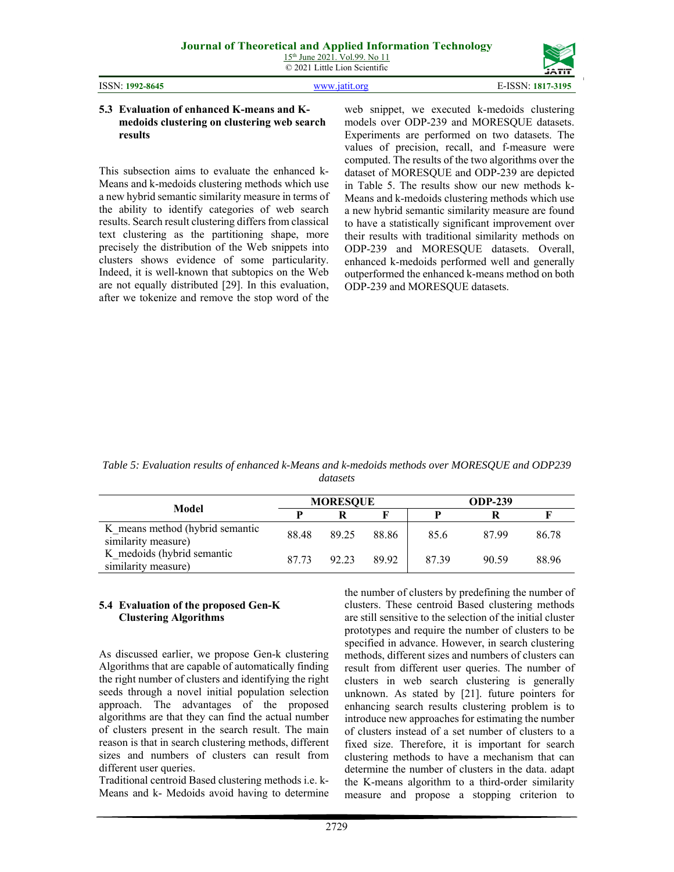| 15 <sup>th</sup> June 2021, Vol.99. No 11 |  |
|-------------------------------------------|--|
| © 2021 Little Lion Scientific             |  |

| ISSN: 1992-8645 |  |
|-----------------|--|
|                 |  |

ISSN: **1992-8645** www.jatit.org E-ISSN: **1817-3195**

#### **5.3 Evaluation of enhanced K-means and Kmedoids clustering on clustering web search results**

This subsection aims to evaluate the enhanced k-Means and k-medoids clustering methods which use a new hybrid semantic similarity measure in terms of the ability to identify categories of web search results. Search result clustering differs from classical text clustering as the partitioning shape, more precisely the distribution of the Web snippets into clusters shows evidence of some particularity. Indeed, it is well-known that subtopics on the Web are not equally distributed [29]. In this evaluation, after we tokenize and remove the stop word of the web snippet, we executed k-medoids clustering models over ODP-239 and MORESQUE datasets. Experiments are performed on two datasets. The values of precision, recall, and f-measure were computed. The results of the two algorithms over the dataset of MORESQUE and ODP-239 are depicted in Table 5. The results show our new methods k-Means and k-medoids clustering methods which use a new hybrid semantic similarity measure are found to have a statistically significant improvement over their results with traditional similarity methods on ODP-239 and MORESQUE datasets. Overall, enhanced k-medoids performed well and generally outperformed the enhanced k-means method on both ODP-239 and MORESQUE datasets.

*Table 5: Evaluation results of enhanced k-Means and k-medoids methods over MORESQUE and ODP239 datasets* 

| Model                                                  | <b>MORESQUE</b> |       |       | <b>ODP-239</b> |       |       |
|--------------------------------------------------------|-----------------|-------|-------|----------------|-------|-------|
|                                                        |                 |       |       |                |       |       |
| K means method (hybrid semantic<br>similarity measure) | 88.48           | 89.25 | 88.86 | 85.6           | 87.99 | 86.78 |
| K medoids (hybrid semantic<br>similarity measure)      | 87.73           | 92.23 | 89.92 | 87.39          | 90.59 | 88.96 |

#### **5.4 Evaluation of the proposed Gen-K Clustering Algorithms**

As discussed earlier, we propose Gen-k clustering Algorithms that are capable of automatically finding the right number of clusters and identifying the right seeds through a novel initial population selection approach. The advantages of the proposed algorithms are that they can find the actual number of clusters present in the search result. The main reason is that in search clustering methods, different sizes and numbers of clusters can result from different user queries.

Traditional centroid Based clustering methods i.e. k-Means and k- Medoids avoid having to determine the number of clusters by predefining the number of clusters. These centroid Based clustering methods are still sensitive to the selection of the initial cluster prototypes and require the number of clusters to be specified in advance. However, in search clustering methods, different sizes and numbers of clusters can result from different user queries. The number of clusters in web search clustering is generally unknown. As stated by [21]. future pointers for enhancing search results clustering problem is to introduce new approaches for estimating the number of clusters instead of a set number of clusters to a fixed size. Therefore, it is important for search clustering methods to have a mechanism that can determine the number of clusters in the data. adapt the K-means algorithm to a third-order similarity measure and propose a stopping criterion to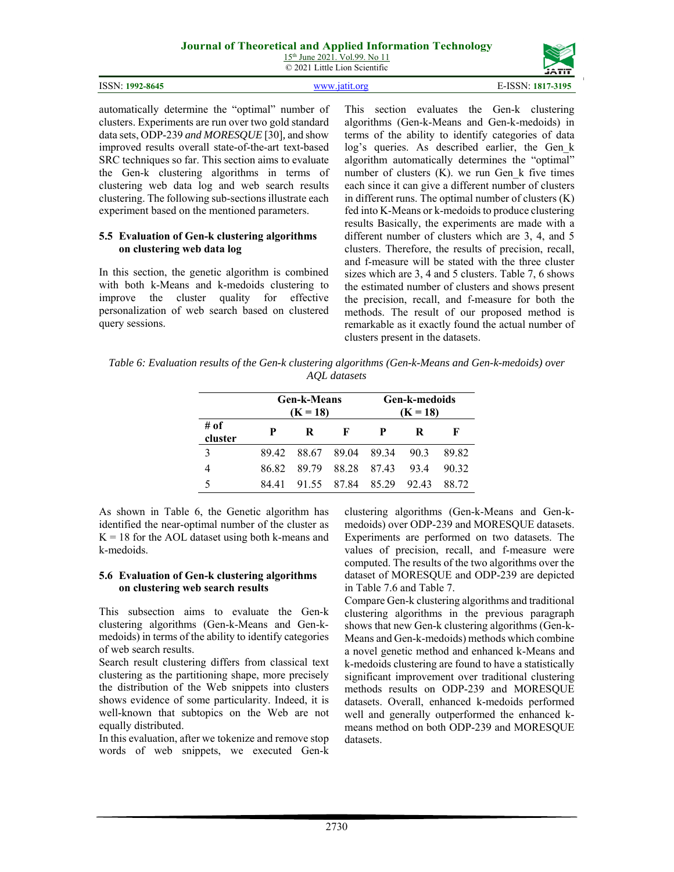# **Journal of Theoretical and Applied Information Technology**

| 15 <sup>th</sup> June 2021. Vol.99. No 11 |  |
|-------------------------------------------|--|
| © 2021 Little Lion Scientific             |  |

|                 |               | ,,,,,,               |
|-----------------|---------------|----------------------|
| ISSN: 1992-8645 | www jatit org | E-ISSN:<br>1817-3195 |

automatically determine the "optimal" number of clusters. Experiments are run over two gold standard data sets, ODP-239 *and MORESQUE* [30]*,* and show improved results overall state-of-the-art text-based SRC techniques so far. This section aims to evaluate the Gen-k clustering algorithms in terms of clustering web data log and web search results clustering. The following sub-sections illustrate each experiment based on the mentioned parameters.

#### **5.5 Evaluation of Gen-k clustering algorithms on clustering web data log**

In this section, the genetic algorithm is combined with both k-Means and k-medoids clustering to improve the cluster quality for effective personalization of web search based on clustered query sessions.

This section evaluates the Gen-k clustering algorithms (Gen-k-Means and Gen-k-medoids) in terms of the ability to identify categories of data log's queries. As described earlier, the Gen k algorithm automatically determines the "optimal" number of clusters (K). we run Gen\_k five times each since it can give a different number of clusters in different runs. The optimal number of clusters  $(K)$ fed into K-Means or k-medoids to produce clustering results Basically, the experiments are made with a different number of clusters which are 3, 4, and 5 clusters. Therefore, the results of precision, recall, and f-measure will be stated with the three cluster sizes which are 3, 4 and 5 clusters. Table 7, 6 shows the estimated number of clusters and shows present the precision, recall, and f-measure for both the methods. The result of our proposed method is remarkable as it exactly found the actual number of clusters present in the datasets.

*Table 6: Evaluation results of the Gen-k clustering algorithms (Gen-k-Means and Gen-k-medoids) over AQL datasets* 

|                 | <b>Gen-k-Means</b><br>$(K = 18)$ |       |                        |             | Gen-k-medoids<br>$(K = 18)$ |       |  |  |
|-----------------|----------------------------------|-------|------------------------|-------------|-----------------------------|-------|--|--|
| # of<br>cluster | P                                | R     | К                      | P           | R                           | Е     |  |  |
| 3               | 89.42                            |       | 88.67 89.04 89.34 90.3 |             |                             | 89.82 |  |  |
| 4               | 86.82                            | 89.79 |                        | 88.28 87.43 | 93.4                        | 90.32 |  |  |
| 5               | 84 41                            |       | 91.55 87.84 85.29      |             | 92.43                       | 88.72 |  |  |

As shown in Table 6, the Genetic algorithm has identified the near-optimal number of the cluster as  $K = 18$  for the AOL dataset using both k-means and k-medoids.

# **5.6 Evaluation of Gen-k clustering algorithms on clustering web search results**

This subsection aims to evaluate the Gen-k clustering algorithms (Gen-k-Means and Gen-kmedoids) in terms of the ability to identify categories of web search results.

Search result clustering differs from classical text clustering as the partitioning shape, more precisely the distribution of the Web snippets into clusters shows evidence of some particularity. Indeed, it is well-known that subtopics on the Web are not equally distributed.

In this evaluation, after we tokenize and remove stop words of web snippets, we executed Gen-k clustering algorithms (Gen-k-Means and Gen-kmedoids) over ODP-239 and MORESQUE datasets. Experiments are performed on two datasets. The values of precision, recall, and f-measure were computed. The results of the two algorithms over the dataset of MORESQUE and ODP-239 are depicted in Table 7.6 and Table 7.

Compare Gen-k clustering algorithms and traditional clustering algorithms in the previous paragraph shows that new Gen-k clustering algorithms (Gen-k-Means and Gen-k-medoids) methods which combine a novel genetic method and enhanced k-Means and k-medoids clustering are found to have a statistically significant improvement over traditional clustering methods results on ODP-239 and MORESQUE datasets. Overall, enhanced k-medoids performed well and generally outperformed the enhanced kmeans method on both ODP-239 and MORESQUE datasets.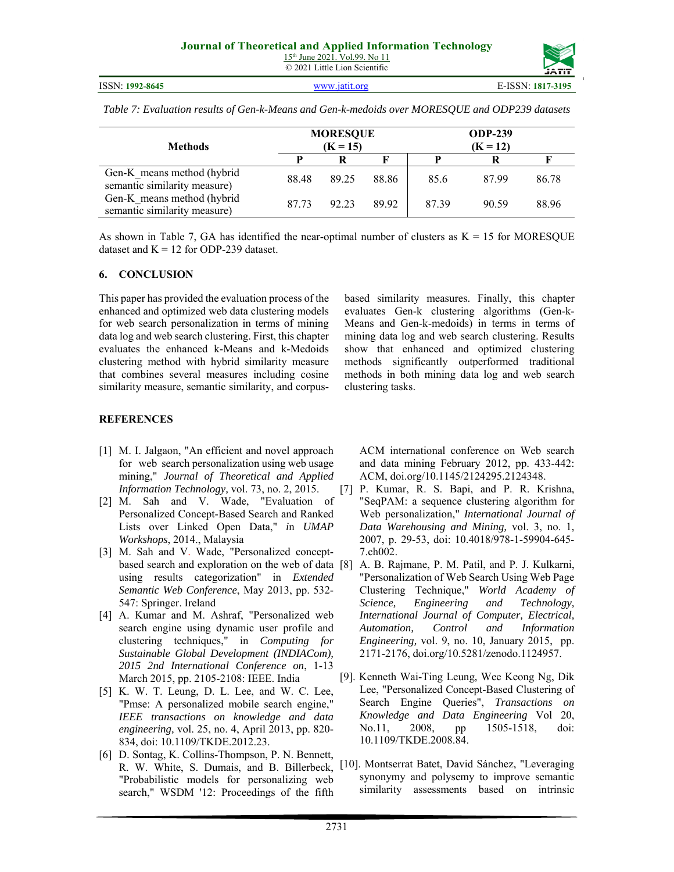| Table 7: Evaluation results of Gen-k-Means and Gen-k-medoids over MORESQUE and ODP239 datasets |  |  |
|------------------------------------------------------------------------------------------------|--|--|
|                                                                                                |  |  |

| <b>Methods</b>                                             | <b>MORESQUE</b><br>$(K = 15)$ |       |       | <b>ODP-239</b><br>$(K = 12)$ |       |       |
|------------------------------------------------------------|-------------------------------|-------|-------|------------------------------|-------|-------|
|                                                            |                               | R     |       |                              | ĸ     |       |
| Gen-K means method (hybrid<br>semantic similarity measure) | 88.48                         | 89.25 | 88.86 | 85.6                         | 87.99 | 86.78 |
| Gen-K means method (hybrid<br>semantic similarity measure) | 87.73                         | 92.23 | 89.92 | 87.39                        | 90.59 | 88.96 |

As shown in Table 7, GA has identified the near-optimal number of clusters as  $K = 15$  for MORESQUE dataset and  $K = 12$  for ODP-239 dataset.

#### **6. CONCLUSION**

This paper has provided the evaluation process of the enhanced and optimized web data clustering models for web search personalization in terms of mining data log and web search clustering. First, this chapter evaluates the enhanced k-Means and k-Medoids clustering method with hybrid similarity measure that combines several measures including cosine similarity measure, semantic similarity, and corpusbased similarity measures. Finally, this chapter evaluates Gen-k clustering algorithms (Gen-k-Means and Gen-k-medoids) in terms in terms of mining data log and web search clustering. Results show that enhanced and optimized clustering methods significantly outperformed traditional methods in both mining data log and web search clustering tasks.

# **REFERENCES**

- [1] M. I. Jalgaon, "An efficient and novel approach for web search personalization using web usage mining," *Journal of Theoretical and Applied Information Technology,* vol. 73, no. 2, 2015.
- [2] M. Sah and V. Wade, "Evaluation of Personalized Concept-Based Search and Ranked Lists over Linked Open Data," *i*n *UMAP Workshops*, 2014., Malaysia
- [3] M. Sah and V. Wade, "Personalized conceptbased search and exploration on the web of data using results categorization" in *Extended Semantic Web Conference*, May 2013, pp. 532- 547: Springer. Ireland
- [4] A. Kumar and M. Ashraf, "Personalized web search engine using dynamic user profile and clustering techniques," in *Computing for Sustainable Global Development (INDIACom), 2015 2nd International Conference on*, 1-13 March 2015, pp. 2105-2108: IEEE. India
- [5] K. W. T. Leung, D. L. Lee, and W. C. Lee, "Pmse: A personalized mobile search engine," *IEEE transactions on knowledge and data engineering,* vol. 25, no. 4, April 2013, pp. 820- 834, doi: 10.1109/TKDE.2012.23.
- [6] D. Sontag, K. Collins-Thompson, P. N. Bennett, R. W. White, S. Dumais, and B. Billerbeck, "Probabilistic models for personalizing web search," WSDM '12: Proceedings of the fifth

ACM international conference on Web search and data mining February 2012, pp. 433-442: ACM, doi.org/10.1145/2124295.2124348.

- [7] P. Kumar, R. S. Bapi, and P. R. Krishna, "SeqPAM: a sequence clustering algorithm for Web personalization," *International Journal of Data Warehousing and Mining,* vol. 3, no. 1, 2007, p. 29-53, doi: 10.4018/978-1-59904-645- 7.ch002.
- A. B. Rajmane, P. M. Patil, and P. J. Kulkarni, "Personalization of Web Search Using Web Page Clustering Technique," *World Academy of Science, Engineering and Technology, International Journal of Computer, Electrical, Automation, Control and Information Engineering,* vol. 9, no. 10, January 2015, pp. 2171-2176, doi.org/10.5281/zenodo.1124957.
- [9]. Kenneth Wai-Ting Leung, Wee Keong Ng, Dik Lee, "Personalized Concept-Based Clustering of Search Engine Queries", *Transactions on Knowledge and Data Engineering* Vol 20, No.11, 2008, pp 1505-1518, doi: 10.1109/TKDE.2008.84.
- [10]. Montserrat Batet, David Sánchez, "Leveraging synonymy and polysemy to improve semantic similarity assessments based on intrinsic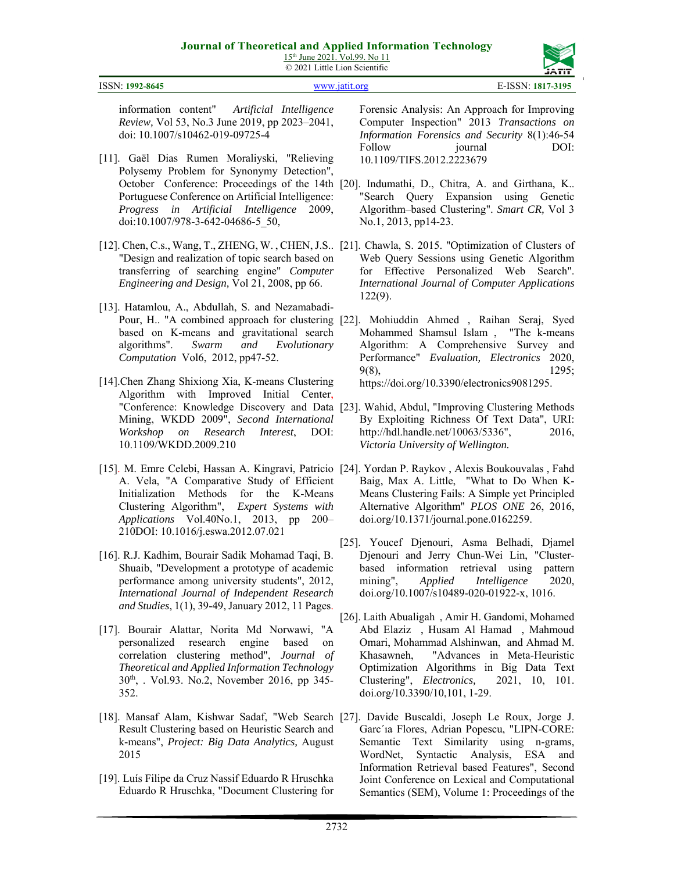![](_page_10_Picture_2.jpeg)

information content" *Artificial Intelligence Review,* Vol 53, No.3 June 2019, pp 2023–2041, doi: 10.1007/s10462-019-09725-4

- [11]. Gaël Dias Rumen Moraliyski, "Relieving Polysemy Problem for Synonymy Detection", Portuguese Conference on Artificial Intelligence: *Progress in Artificial Intelligence* 2009, doi:10.1007/978-3-642-04686-5\_50,
- [12]. Chen, C.s., Wang, T., ZHENG, W. , CHEN, J.S.. [21]. Chawla, S. 2015. "Optimization of Clusters of "Design and realization of topic search based on transferring of searching engine" *Computer Engineering and Design,* Vol 21, 2008, pp 66.
- [13]. Hatamlou, A., Abdullah, S. and Nezamabadibased on K-means and gravitational search algorithms". *Swarm and Evolutionary Computation* Vol6, 2012, pp47-52.
- [14].Chen Zhang Shixiong Xia, K-means Clustering Algorithm with Improved Initial Center, Mining, WKDD 2009", *Second International Workshop on Research Interest*, DOI: 10.1109/WKDD.2009.210
- [15]. M. Emre Celebi, Hassan A. Kingravi, Patricio [24]. Yordan P. Raykov , Alexis Boukouvalas , Fahd A. Vela, "A Comparative Study of Efficient Initialization Methods for the K-Means Clustering Algorithm", *Expert Systems with Applications* Vol.40No.1, 2013, pp 200– 210DOI: 10.1016/j.eswa.2012.07.021
- [16]. R.J. Kadhim, Bourair Sadik Mohamad Taqi, B. Shuaib, "Development a prototype of academic performance among university students", 2012, *International Journal of Independent Research and Studies*, 1(1), 39-49, January 2012, 11 Pages.
- [17]. Bourair Alattar, Norita Md Norwawi, "A personalized research engine based on correlation clustering method", *Journal of Theoretical and Applied Information Technology*  30th, . Vol.93. No.2, November 2016, pp 345- 352.
- [18]. Mansaf Alam, Kishwar Sadaf, "Web Search [27]. Davide Buscaldi, Joseph Le Roux, Jorge J. Result Clustering based on Heuristic Search and k-means", *Project: Big Data Analytics,* August 2015
- [19]. Luís Filipe da Cruz Nassif Eduardo R Hruschka Eduardo R Hruschka, "Document Clustering for

Forensic Analysis: An Approach for Improving Computer Inspection" 2013 *Transactions on Information Forensics and Security* 8(1):46-54 Follow journal DOI: 10.1109/TIFS.2012.2223679

- October Conference: Proceedings of the 14th [20]. Indumathi, D., Chitra, A. and Girthana, K.. "Search Query Expansion using Genetic Algorithm–based Clustering". *Smart CR,* Vol 3 No.1, 2013, pp14-23.
	- Web Query Sessions using Genetic Algorithm for Effective Personalized Web Search". *International Journal of Computer Applications* 122(9).
- Pour, H.. "A combined approach for clustering [22]. Mohiuddin Ahmed , Raihan Seraj, Syed Mohammed Shamsul Islam , "The k-means Algorithm: A Comprehensive Survey and Performance" *Evaluation, Electronics* 2020, 9(8), 1295; https://doi.org/10.3390/electronics9081295.
- "Conference: Knowledge Discovery and Data [23]. Wahid, Abdul, "Improving Clustering Methods By Exploiting Richness Of Text Data", URI: http://hdl.handle.net/10063/5336", 2016, *Victoria University of Wellington.*
	- Baig, Max A. Little, "What to Do When K-Means Clustering Fails: A Simple yet Principled Alternative Algorithm" *PLOS ONE* 26, 2016, doi.org/10.1371/journal.pone.0162259.
	- [25]. Youcef Djenouri, Asma Belhadi, Djamel Djenouri and Jerry Chun-Wei Lin, "Clusterbased information retrieval using pattern mining", *Applied Intelligence* 2020, doi.org/10.1007/s10489-020-01922-x, 1016.
	- [26]. Laith Abualigah , Amir H. Gandomi, Mohamed Abd Elaziz , Husam Al Hamad , Mahmoud Omari, Mohammad Alshinwan, and Ahmad M. Khasawneh, "Advances in Meta-Heuristic Optimization Algorithms in Big Data Text Clustering", *Electronics,* 2021, 10, 101. doi.org/10.3390/10,101, 1-29.
	- Garc´ıa Flores, Adrian Popescu, "LIPN-CORE: Semantic Text Similarity using n-grams, WordNet, Syntactic Analysis, ESA and Information Retrieval based Features", Second Joint Conference on Lexical and Computational Semantics (SEM), Volume 1: Proceedings of the